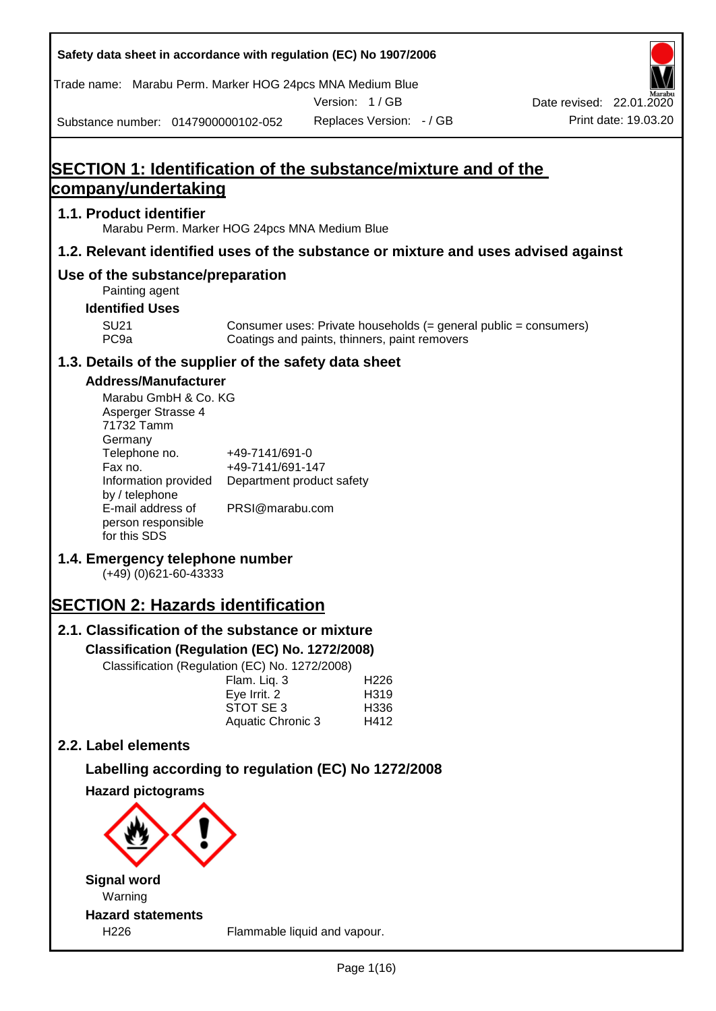| Safety data sheet in accordance with regulation (EC) No 1907/2006                                                                                                                                                                                                                                                                                                                                                                                                                                   |                                                                                                                                 |                                               |                          |                                                                  |                      |
|-----------------------------------------------------------------------------------------------------------------------------------------------------------------------------------------------------------------------------------------------------------------------------------------------------------------------------------------------------------------------------------------------------------------------------------------------------------------------------------------------------|---------------------------------------------------------------------------------------------------------------------------------|-----------------------------------------------|--------------------------|------------------------------------------------------------------|----------------------|
| Trade name: Marabu Perm. Marker HOG 24pcs MNA Medium Blue                                                                                                                                                                                                                                                                                                                                                                                                                                           |                                                                                                                                 |                                               |                          |                                                                  |                      |
|                                                                                                                                                                                                                                                                                                                                                                                                                                                                                                     |                                                                                                                                 | Version: 1/GB                                 |                          | Date revised: 22.01.2020                                         | Print date: 19.03.20 |
| Substance number: 0147900000102-052                                                                                                                                                                                                                                                                                                                                                                                                                                                                 |                                                                                                                                 |                                               | Replaces Version: - / GB |                                                                  |                      |
| SECTION 1: Identification of the substance/mixture and of the                                                                                                                                                                                                                                                                                                                                                                                                                                       |                                                                                                                                 |                                               |                          |                                                                  |                      |
| company/undertaking                                                                                                                                                                                                                                                                                                                                                                                                                                                                                 |                                                                                                                                 |                                               |                          |                                                                  |                      |
| 1.1. Product identifier<br>Marabu Perm. Marker HOG 24pcs MNA Medium Blue                                                                                                                                                                                                                                                                                                                                                                                                                            |                                                                                                                                 |                                               |                          |                                                                  |                      |
| 1.2. Relevant identified uses of the substance or mixture and uses advised against                                                                                                                                                                                                                                                                                                                                                                                                                  |                                                                                                                                 |                                               |                          |                                                                  |                      |
| Use of the substance/preparation<br>Painting agent                                                                                                                                                                                                                                                                                                                                                                                                                                                  |                                                                                                                                 |                                               |                          |                                                                  |                      |
| <b>Identified Uses</b>                                                                                                                                                                                                                                                                                                                                                                                                                                                                              |                                                                                                                                 |                                               |                          |                                                                  |                      |
| <b>SU21</b><br>PC <sub>9a</sub>                                                                                                                                                                                                                                                                                                                                                                                                                                                                     |                                                                                                                                 | Coatings and paints, thinners, paint removers |                          | Consumer uses: Private households (= general public = consumers) |                      |
| 1.3. Details of the supplier of the safety data sheet                                                                                                                                                                                                                                                                                                                                                                                                                                               |                                                                                                                                 |                                               |                          |                                                                  |                      |
| <b>Address/Manufacturer</b><br>Marabu GmbH & Co. KG<br>Asperger Strasse 4<br>71732 Tamm<br>Germany<br>Telephone no.<br>Fax no.<br>Information provided<br>by / telephone<br>E-mail address of<br>person responsible<br>for this SDS<br>1.4. Emergency telephone number<br>(+49) (0) 621-60-43333<br><b>SECTION 2: Hazards identification</b><br>2.1. Classification of the substance or mixture<br>Classification (Regulation (EC) No. 1272/2008)<br>Classification (Regulation (EC) No. 1272/2008) | +49-7141/691-0<br>+49-7141/691-147<br>Department product safety<br>PRSI@marabu.com<br>Flam. Liq. 3<br>Eye Irrit. 2<br>STOT SE 3 | H <sub>226</sub><br>H319<br>H336              |                          |                                                                  |                      |
|                                                                                                                                                                                                                                                                                                                                                                                                                                                                                                     | Aquatic Chronic 3                                                                                                               | H412                                          |                          |                                                                  |                      |
| 2.2. Label elements                                                                                                                                                                                                                                                                                                                                                                                                                                                                                 |                                                                                                                                 |                                               |                          |                                                                  |                      |
| Labelling according to regulation (EC) No 1272/2008                                                                                                                                                                                                                                                                                                                                                                                                                                                 |                                                                                                                                 |                                               |                          |                                                                  |                      |
| <b>Hazard pictograms</b>                                                                                                                                                                                                                                                                                                                                                                                                                                                                            |                                                                                                                                 |                                               |                          |                                                                  |                      |
|                                                                                                                                                                                                                                                                                                                                                                                                                                                                                                     |                                                                                                                                 |                                               |                          |                                                                  |                      |
| <b>Signal word</b>                                                                                                                                                                                                                                                                                                                                                                                                                                                                                  |                                                                                                                                 |                                               |                          |                                                                  |                      |
| Warning<br><b>Hazard statements</b>                                                                                                                                                                                                                                                                                                                                                                                                                                                                 |                                                                                                                                 |                                               |                          |                                                                  |                      |
| H226                                                                                                                                                                                                                                                                                                                                                                                                                                                                                                |                                                                                                                                 | Flammable liquid and vapour.                  |                          |                                                                  |                      |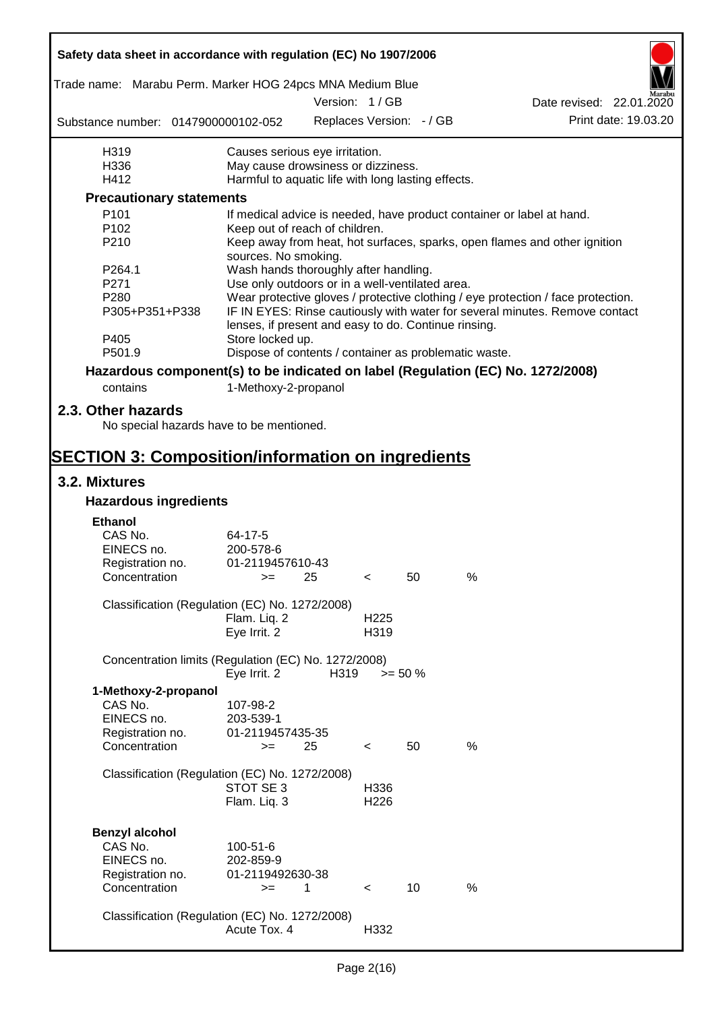| Safety data sheet in accordance with regulation (EC) No 1907/2006               |                                                                                                   |      |                  |                          |      |                                                                                  |                      |  |
|---------------------------------------------------------------------------------|---------------------------------------------------------------------------------------------------|------|------------------|--------------------------|------|----------------------------------------------------------------------------------|----------------------|--|
| Trade name: Marabu Perm. Marker HOG 24pcs MNA Medium Blue                       |                                                                                                   |      |                  |                          |      |                                                                                  |                      |  |
|                                                                                 |                                                                                                   |      | Version: 1/GB    |                          |      | Date revised: 22.01.2020                                                         |                      |  |
| Substance number: 0147900000102-052                                             |                                                                                                   |      |                  | Replaces Version: - / GB |      |                                                                                  | Print date: 19.03.20 |  |
| H319                                                                            | Causes serious eye irritation.                                                                    |      |                  |                          |      |                                                                                  |                      |  |
| H336                                                                            | May cause drowsiness or dizziness.                                                                |      |                  |                          |      |                                                                                  |                      |  |
| H412                                                                            | Harmful to aquatic life with long lasting effects.                                                |      |                  |                          |      |                                                                                  |                      |  |
| <b>Precautionary statements</b>                                                 |                                                                                                   |      |                  |                          |      |                                                                                  |                      |  |
| P <sub>101</sub>                                                                |                                                                                                   |      |                  |                          |      | If medical advice is needed, have product container or label at hand.            |                      |  |
| P <sub>102</sub>                                                                | Keep out of reach of children.                                                                    |      |                  |                          |      |                                                                                  |                      |  |
| P210                                                                            | Keep away from heat, hot surfaces, sparks, open flames and other ignition<br>sources. No smoking. |      |                  |                          |      |                                                                                  |                      |  |
| P <sub>264.1</sub>                                                              | Wash hands thoroughly after handling.                                                             |      |                  |                          |      |                                                                                  |                      |  |
| P271                                                                            | Use only outdoors or in a well-ventilated area.                                                   |      |                  |                          |      |                                                                                  |                      |  |
| P280                                                                            |                                                                                                   |      |                  |                          |      | Wear protective gloves / protective clothing / eye protection / face protection. |                      |  |
| P305+P351+P338                                                                  | lenses, if present and easy to do. Continue rinsing.                                              |      |                  |                          |      | IF IN EYES: Rinse cautiously with water for several minutes. Remove contact      |                      |  |
| P405                                                                            | Store locked up.                                                                                  |      |                  |                          |      |                                                                                  |                      |  |
| P501.9                                                                          | Dispose of contents / container as problematic waste.                                             |      |                  |                          |      |                                                                                  |                      |  |
| Hazardous component(s) to be indicated on label (Regulation (EC) No. 1272/2008) |                                                                                                   |      |                  |                          |      |                                                                                  |                      |  |
| contains                                                                        | 1-Methoxy-2-propanol                                                                              |      |                  |                          |      |                                                                                  |                      |  |
|                                                                                 |                                                                                                   |      |                  |                          |      |                                                                                  |                      |  |
| 2.3. Other hazards<br>No special hazards have to be mentioned.                  |                                                                                                   |      |                  |                          |      |                                                                                  |                      |  |
| <b>SECTION 3: Composition/information on ingredients</b>                        |                                                                                                   |      |                  |                          |      |                                                                                  |                      |  |
| 3.2. Mixtures                                                                   |                                                                                                   |      |                  |                          |      |                                                                                  |                      |  |
| <b>Hazardous ingredients</b>                                                    |                                                                                                   |      |                  |                          |      |                                                                                  |                      |  |
| <b>Ethanol</b>                                                                  |                                                                                                   |      |                  |                          |      |                                                                                  |                      |  |
| CAS No.                                                                         | 64-17-5                                                                                           |      |                  |                          |      |                                                                                  |                      |  |
| EINECS no.                                                                      | 200-578-6                                                                                         |      |                  |                          |      |                                                                                  |                      |  |
| Registration no.                                                                | 01-2119457610-43                                                                                  |      |                  |                          |      |                                                                                  |                      |  |
| Concentration                                                                   | $>=$ 25                                                                                           |      | $\sim$           | 50                       | %    |                                                                                  |                      |  |
|                                                                                 |                                                                                                   |      |                  |                          |      |                                                                                  |                      |  |
| Classification (Regulation (EC) No. 1272/2008)                                  |                                                                                                   |      |                  |                          |      |                                                                                  |                      |  |
|                                                                                 | Flam. Liq. 2                                                                                      |      | H <sub>225</sub> |                          |      |                                                                                  |                      |  |
|                                                                                 | Eye Irrit. 2                                                                                      |      | H319             |                          |      |                                                                                  |                      |  |
| Concentration limits (Regulation (EC) No. 1272/2008)                            |                                                                                                   |      |                  |                          |      |                                                                                  |                      |  |
|                                                                                 | Eye Irrit. 2                                                                                      | H319 |                  | $>= 50 \%$               |      |                                                                                  |                      |  |
| 1-Methoxy-2-propanol                                                            |                                                                                                   |      |                  |                          |      |                                                                                  |                      |  |
| CAS No.                                                                         | 107-98-2                                                                                          |      |                  |                          |      |                                                                                  |                      |  |
| EINECS no.                                                                      | 203-539-1                                                                                         |      |                  |                          |      |                                                                                  |                      |  |
| Registration no.                                                                | 01-2119457435-35                                                                                  |      |                  |                          |      |                                                                                  |                      |  |
| Concentration                                                                   | $>=$                                                                                              | 25   | $\,<\,$          | 50                       | %    |                                                                                  |                      |  |
|                                                                                 |                                                                                                   |      |                  |                          |      |                                                                                  |                      |  |
| Classification (Regulation (EC) No. 1272/2008)                                  |                                                                                                   |      |                  |                          |      |                                                                                  |                      |  |
|                                                                                 | STOT SE 3                                                                                         |      | H336             |                          |      |                                                                                  |                      |  |
|                                                                                 | Flam. Liq. 3                                                                                      |      | H <sub>226</sub> |                          |      |                                                                                  |                      |  |
|                                                                                 |                                                                                                   |      |                  |                          |      |                                                                                  |                      |  |
| <b>Benzyl alcohol</b>                                                           |                                                                                                   |      |                  |                          |      |                                                                                  |                      |  |
| CAS No.                                                                         | 100-51-6                                                                                          |      |                  |                          |      |                                                                                  |                      |  |
| EINECS no.                                                                      | 202-859-9                                                                                         |      |                  |                          |      |                                                                                  |                      |  |
| Registration no.                                                                | 01-2119492630-38                                                                                  |      |                  |                          |      |                                                                                  |                      |  |
| Concentration                                                                   | $>=$                                                                                              | 1    | $\,<\,$          | 10                       | $\%$ |                                                                                  |                      |  |
|                                                                                 |                                                                                                   |      |                  |                          |      |                                                                                  |                      |  |
| Classification (Regulation (EC) No. 1272/2008)                                  |                                                                                                   |      |                  |                          |      |                                                                                  |                      |  |
|                                                                                 | Acute Tox. 4                                                                                      |      | H332             |                          |      |                                                                                  |                      |  |
|                                                                                 |                                                                                                   |      |                  |                          |      |                                                                                  |                      |  |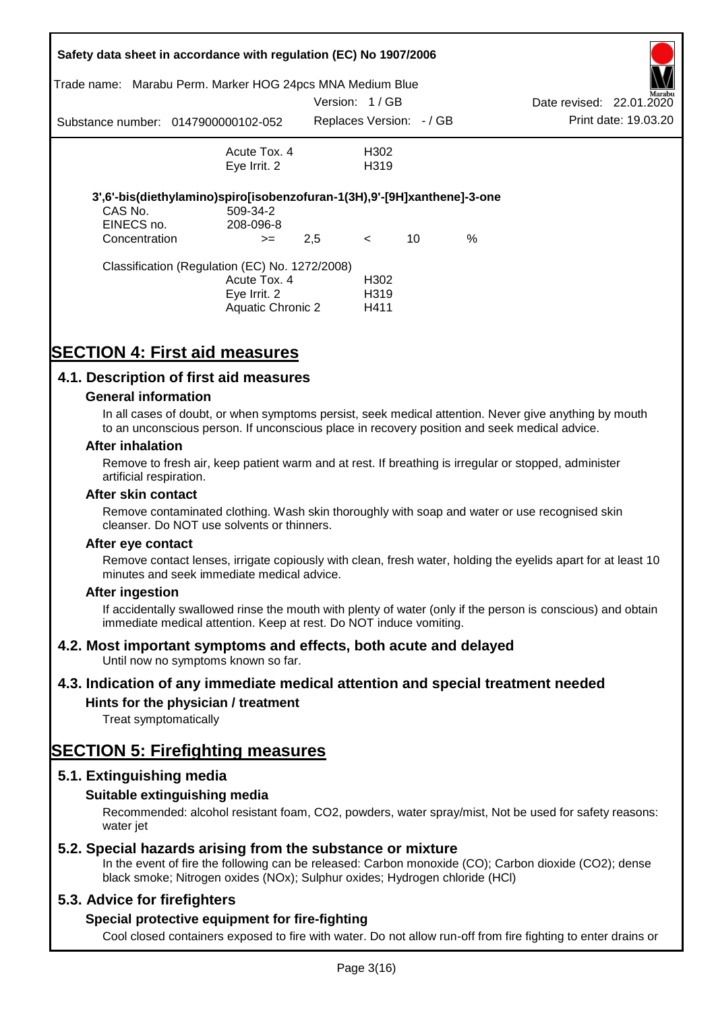| Trade name:                 | Safety data sheet in accordance with regulation (EC) No 1907/2006<br>Marabu Perm. Marker HOG 24pcs MNA Medium Blue |               |                           |    |      |                          |                      |
|-----------------------------|--------------------------------------------------------------------------------------------------------------------|---------------|---------------------------|----|------|--------------------------|----------------------|
|                             |                                                                                                                    | Version: 1/GB |                           |    |      | Date revised: 22.01.2020 | Marabu               |
|                             | Substance number: 0147900000102-052                                                                                |               | Replaces Version: - / GB  |    |      |                          | Print date: 19.03.20 |
|                             | Acute Tox, 4                                                                                                       |               | H302                      |    |      |                          |                      |
|                             | Eye Irrit. 2                                                                                                       |               | H <sub>3</sub> 19         |    |      |                          |                      |
|                             | 3',6'-bis(diethylamino)spiro[isobenzofuran-1(3H),9'-[9H]xanthene]-3-one                                            |               |                           |    |      |                          |                      |
| CAS No.                     | 509-34-2                                                                                                           |               |                           |    |      |                          |                      |
| EINECS no.<br>Concentration | 208-096-8<br>$>=$                                                                                                  | 2,5           | $\lt$                     | 10 | $\%$ |                          |                      |
|                             | Classification (Regulation (EC) No. 1272/2008)                                                                     |               |                           |    |      |                          |                      |
|                             | Acute Tox. 4                                                                                                       |               | H <sub>302</sub>          |    |      |                          |                      |
|                             | Eye Irrit. 2<br><b>Aquatic Chronic 2</b>                                                                           |               | H <sub>3</sub> 19<br>H411 |    |      |                          |                      |
|                             |                                                                                                                    |               |                           |    |      |                          |                      |

## **SECTION 4: First aid measures**

### **4.1. Description of first aid measures**

#### **General information**

In all cases of doubt, or when symptoms persist, seek medical attention. Never give anything by mouth to an unconscious person. If unconscious place in recovery position and seek medical advice.

#### **After inhalation**

Remove to fresh air, keep patient warm and at rest. If breathing is irregular or stopped, administer artificial respiration.

#### **After skin contact**

Remove contaminated clothing. Wash skin thoroughly with soap and water or use recognised skin cleanser. Do NOT use solvents or thinners.

#### **After eye contact**

Remove contact lenses, irrigate copiously with clean, fresh water, holding the eyelids apart for at least 10 minutes and seek immediate medical advice.

#### **After ingestion**

If accidentally swallowed rinse the mouth with plenty of water (only if the person is conscious) and obtain immediate medical attention. Keep at rest. Do NOT induce vomiting.

#### **4.2. Most important symptoms and effects, both acute and delayed**

Until now no symptoms known so far.

#### **4.3. Indication of any immediate medical attention and special treatment needed**

### **Hints for the physician / treatment**

Treat symptomatically

## **SECTION 5: Firefighting measures**

#### **5.1. Extinguishing media**

#### **Suitable extinguishing media**

Recommended: alcohol resistant foam, CO2, powders, water spray/mist, Not be used for safety reasons: water *iet* 

#### **5.2. Special hazards arising from the substance or mixture**

In the event of fire the following can be released: Carbon monoxide (CO); Carbon dioxide (CO2); dense black smoke; Nitrogen oxides (NOx); Sulphur oxides; Hydrogen chloride (HCl)

#### **5.3. Advice for firefighters**

#### **Special protective equipment for fire-fighting**

Cool closed containers exposed to fire with water. Do not allow run-off from fire fighting to enter drains or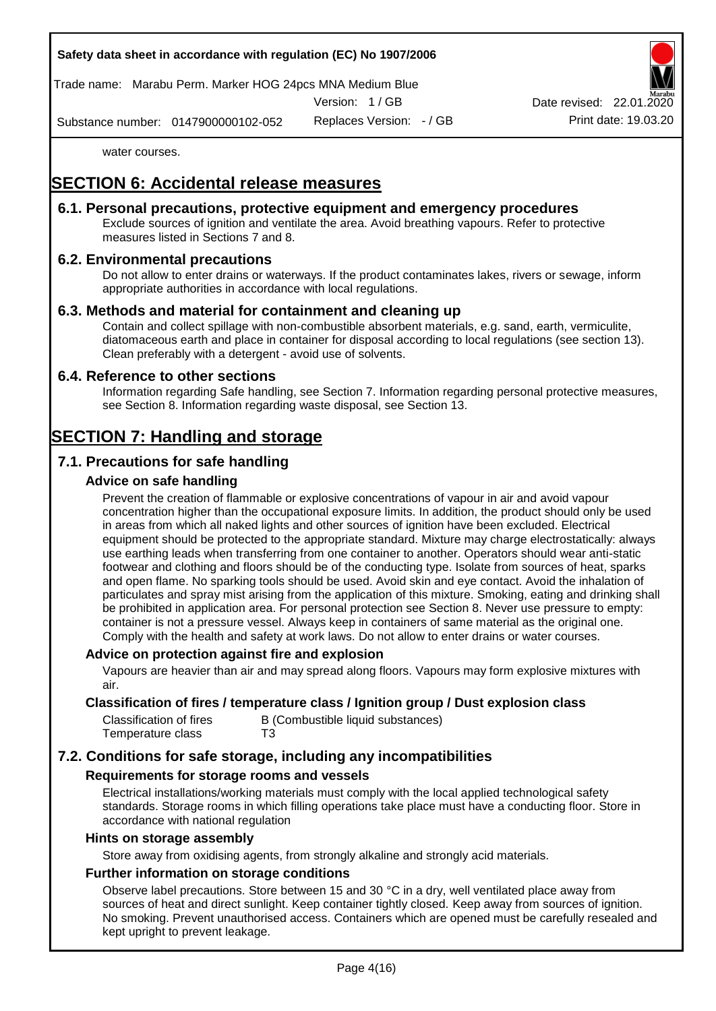Trade name: Marabu Perm. Marker HOG 24pcs MNA Medium Blue

Version: 1 / GB

Replaces Version: - / GB Print date: 19.03.20 Date revised: 22.01.

Substance number: 0147900000102-052

water courses.

## **SECTION 6: Accidental release measures**

### **6.1. Personal precautions, protective equipment and emergency procedures**

Exclude sources of ignition and ventilate the area. Avoid breathing vapours. Refer to protective measures listed in Sections 7 and 8.

### **6.2. Environmental precautions**

Do not allow to enter drains or waterways. If the product contaminates lakes, rivers or sewage, inform appropriate authorities in accordance with local regulations.

### **6.3. Methods and material for containment and cleaning up**

Contain and collect spillage with non-combustible absorbent materials, e.g. sand, earth, vermiculite, diatomaceous earth and place in container for disposal according to local regulations (see section 13). Clean preferably with a detergent - avoid use of solvents.

#### **6.4. Reference to other sections**

Information regarding Safe handling, see Section 7. Information regarding personal protective measures, see Section 8. Information regarding waste disposal, see Section 13.

## **SECTION 7: Handling and storage**

## **7.1. Precautions for safe handling**

### **Advice on safe handling**

Prevent the creation of flammable or explosive concentrations of vapour in air and avoid vapour concentration higher than the occupational exposure limits. In addition, the product should only be used in areas from which all naked lights and other sources of ignition have been excluded. Electrical equipment should be protected to the appropriate standard. Mixture may charge electrostatically: always use earthing leads when transferring from one container to another. Operators should wear anti-static footwear and clothing and floors should be of the conducting type. Isolate from sources of heat, sparks and open flame. No sparking tools should be used. Avoid skin and eye contact. Avoid the inhalation of particulates and spray mist arising from the application of this mixture. Smoking, eating and drinking shall be prohibited in application area. For personal protection see Section 8. Never use pressure to empty: container is not a pressure vessel. Always keep in containers of same material as the original one. Comply with the health and safety at work laws. Do not allow to enter drains or water courses.

#### **Advice on protection against fire and explosion**

Vapours are heavier than air and may spread along floors. Vapours may form explosive mixtures with air.

#### **Classification of fires / temperature class / Ignition group / Dust explosion class**

| Classification of fires | B (Combustible liquid substances) |
|-------------------------|-----------------------------------|
| Temperature class       | T3                                |

## **7.2. Conditions for safe storage, including any incompatibilities**

#### **Requirements for storage rooms and vessels**

Electrical installations/working materials must comply with the local applied technological safety standards. Storage rooms in which filling operations take place must have a conducting floor. Store in accordance with national regulation

#### **Hints on storage assembly**

Store away from oxidising agents, from strongly alkaline and strongly acid materials.

### **Further information on storage conditions**

Observe label precautions. Store between 15 and 30 °C in a dry, well ventilated place away from sources of heat and direct sunlight. Keep container tightly closed. Keep away from sources of ignition. No smoking. Prevent unauthorised access. Containers which are opened must be carefully resealed and kept upright to prevent leakage.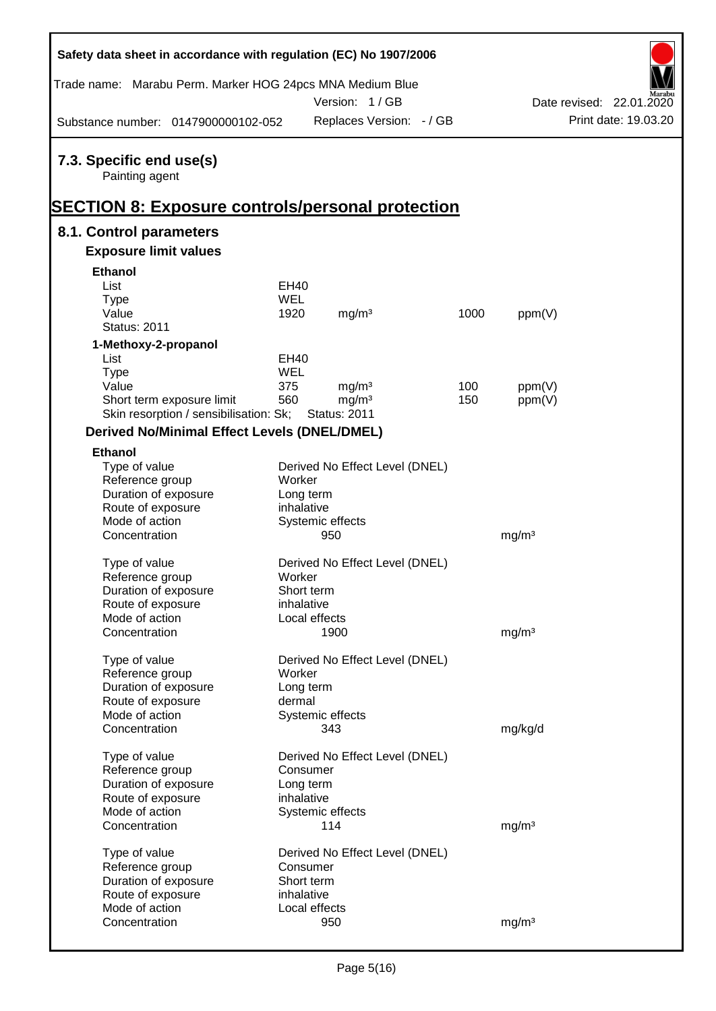| Safety data sheet in accordance with regulation (EC) No 1907/2006                                     |            |                                |      |                          |  |                      |  |
|-------------------------------------------------------------------------------------------------------|------------|--------------------------------|------|--------------------------|--|----------------------|--|
| Trade name: Marabu Perm. Marker HOG 24pcs MNA Medium Blue                                             |            | Version: 1/GB                  |      | Date revised: 22.01.2020 |  |                      |  |
| Substance number: 0147900000102-052                                                                   |            | Replaces Version: - / GB       |      |                          |  | Print date: 19.03.20 |  |
| 7.3. Specific end use(s)<br>Painting agent<br><b>SECTION 8: Exposure controls/personal protection</b> |            |                                |      |                          |  |                      |  |
| 8.1. Control parameters                                                                               |            |                                |      |                          |  |                      |  |
| <b>Exposure limit values</b>                                                                          |            |                                |      |                          |  |                      |  |
| <b>Ethanol</b>                                                                                        |            |                                |      |                          |  |                      |  |
| List                                                                                                  | EH40       |                                |      |                          |  |                      |  |
| <b>Type</b>                                                                                           | WEL        |                                |      |                          |  |                      |  |
| Value                                                                                                 | 1920       | mg/m <sup>3</sup>              | 1000 | ppm(V)                   |  |                      |  |
| <b>Status: 2011</b>                                                                                   |            |                                |      |                          |  |                      |  |
| 1-Methoxy-2-propanol                                                                                  |            |                                |      |                          |  |                      |  |
| List                                                                                                  | EH40       |                                |      |                          |  |                      |  |
| <b>Type</b>                                                                                           | WEL        |                                |      |                          |  |                      |  |
| Value                                                                                                 | 375        | mg/m <sup>3</sup>              | 100  | ppm(V)                   |  |                      |  |
| Short term exposure limit                                                                             | 560        | mg/m <sup>3</sup>              | 150  | ppm(V)                   |  |                      |  |
| Skin resorption / sensibilisation: Sk;                                                                |            | <b>Status: 2011</b>            |      |                          |  |                      |  |
| <b>Derived No/Minimal Effect Levels (DNEL/DMEL)</b>                                                   |            |                                |      |                          |  |                      |  |
| <b>Ethanol</b>                                                                                        |            |                                |      |                          |  |                      |  |
| Type of value                                                                                         |            | Derived No Effect Level (DNEL) |      |                          |  |                      |  |
| Reference group                                                                                       | Worker     |                                |      |                          |  |                      |  |
| Duration of exposure                                                                                  | Long term  |                                |      |                          |  |                      |  |
| Route of exposure                                                                                     | inhalative |                                |      |                          |  |                      |  |
| Mode of action                                                                                        |            | Systemic effects               |      |                          |  |                      |  |
| Concentration                                                                                         |            | 950                            |      | mg/m <sup>3</sup>        |  |                      |  |
| Type of value                                                                                         |            | Derived No Effect Level (DNEL) |      |                          |  |                      |  |
| Reference group                                                                                       | Worker     |                                |      |                          |  |                      |  |
| Duration of exposure                                                                                  | Short term |                                |      |                          |  |                      |  |
| Route of exposure                                                                                     | inhalative |                                |      |                          |  |                      |  |
| Mode of action                                                                                        |            | Local effects                  |      |                          |  |                      |  |
| Concentration                                                                                         |            | 1900                           |      | mg/m <sup>3</sup>        |  |                      |  |
|                                                                                                       |            |                                |      |                          |  |                      |  |
| Type of value                                                                                         |            | Derived No Effect Level (DNEL) |      |                          |  |                      |  |
| Reference group                                                                                       | Worker     |                                |      |                          |  |                      |  |
| Duration of exposure                                                                                  | Long term  |                                |      |                          |  |                      |  |
| Route of exposure                                                                                     | dermal     |                                |      |                          |  |                      |  |
| Mode of action                                                                                        |            | Systemic effects               |      |                          |  |                      |  |
| Concentration                                                                                         |            | 343                            |      | mg/kg/d                  |  |                      |  |
| Type of value                                                                                         |            | Derived No Effect Level (DNEL) |      |                          |  |                      |  |
| Reference group                                                                                       | Consumer   |                                |      |                          |  |                      |  |
| Duration of exposure                                                                                  | Long term  |                                |      |                          |  |                      |  |
| Route of exposure                                                                                     | inhalative |                                |      |                          |  |                      |  |
| Mode of action                                                                                        |            | Systemic effects               |      |                          |  |                      |  |
| Concentration                                                                                         |            | 114                            |      | mg/m <sup>3</sup>        |  |                      |  |
|                                                                                                       |            |                                |      |                          |  |                      |  |
| Type of value                                                                                         |            | Derived No Effect Level (DNEL) |      |                          |  |                      |  |
| Reference group                                                                                       | Consumer   |                                |      |                          |  |                      |  |
| Duration of exposure                                                                                  | Short term |                                |      |                          |  |                      |  |
| Route of exposure<br>Mode of action                                                                   | inhalative | Local effects                  |      |                          |  |                      |  |
| Concentration                                                                                         |            | 950                            |      | mg/m <sup>3</sup>        |  |                      |  |
|                                                                                                       |            |                                |      |                          |  |                      |  |

Ī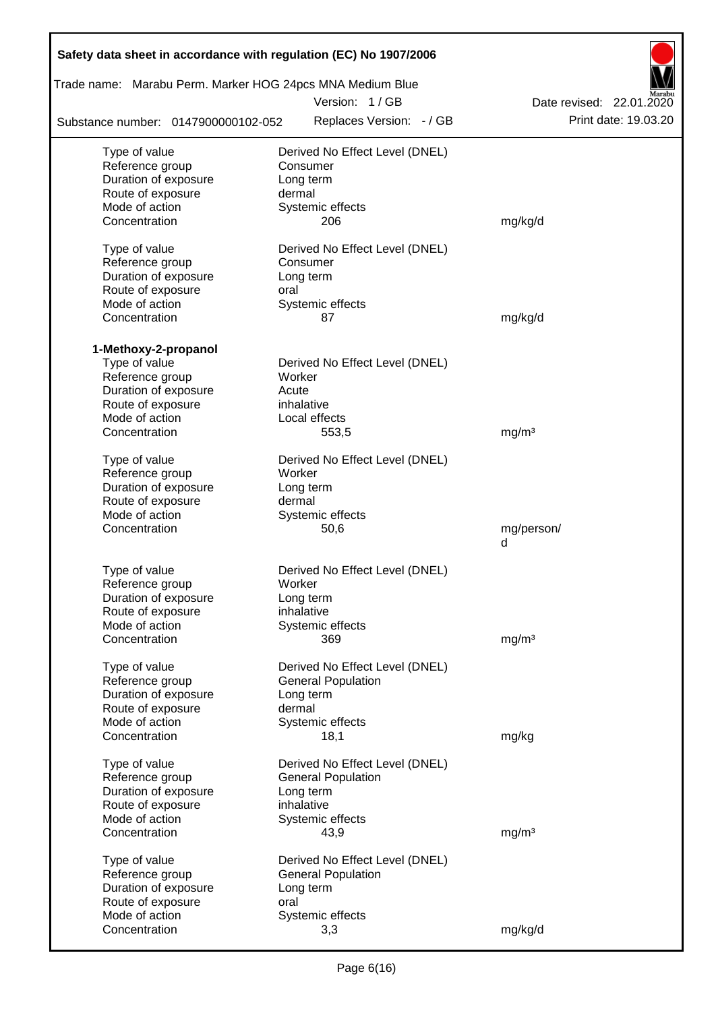| Safety data sheet in accordance with regulation (EC) No 1907/2006<br>Trade name: Marabu Perm. Marker HOG 24pcs MNA Medium Blue |                                |                          |  |  |  |  |  |
|--------------------------------------------------------------------------------------------------------------------------------|--------------------------------|--------------------------|--|--|--|--|--|
|                                                                                                                                | Version: 1/GB                  | Date revised: 22.01.2020 |  |  |  |  |  |
| Substance number: 0147900000102-052                                                                                            | Replaces Version: - / GB       | Print date: 19.03.20     |  |  |  |  |  |
| Type of value                                                                                                                  | Derived No Effect Level (DNEL) |                          |  |  |  |  |  |
| Reference group                                                                                                                | Consumer                       |                          |  |  |  |  |  |
| Duration of exposure                                                                                                           | Long term                      |                          |  |  |  |  |  |
| Route of exposure                                                                                                              | dermal                         |                          |  |  |  |  |  |
| Mode of action                                                                                                                 | Systemic effects               |                          |  |  |  |  |  |
| Concentration                                                                                                                  | 206                            | mg/kg/d                  |  |  |  |  |  |
| Type of value                                                                                                                  | Derived No Effect Level (DNEL) |                          |  |  |  |  |  |
| Reference group                                                                                                                | Consumer                       |                          |  |  |  |  |  |
| Duration of exposure                                                                                                           | Long term                      |                          |  |  |  |  |  |
| Route of exposure                                                                                                              | oral                           |                          |  |  |  |  |  |
| Mode of action                                                                                                                 | Systemic effects               |                          |  |  |  |  |  |
| Concentration                                                                                                                  | 87                             | mg/kg/d                  |  |  |  |  |  |
| 1-Methoxy-2-propanol                                                                                                           |                                |                          |  |  |  |  |  |
| Type of value                                                                                                                  | Derived No Effect Level (DNEL) |                          |  |  |  |  |  |
| Reference group                                                                                                                | Worker                         |                          |  |  |  |  |  |
| Duration of exposure                                                                                                           | Acute                          |                          |  |  |  |  |  |
| Route of exposure                                                                                                              | inhalative                     |                          |  |  |  |  |  |
| Mode of action                                                                                                                 | Local effects                  |                          |  |  |  |  |  |
| Concentration                                                                                                                  | 553,5                          | mg/m <sup>3</sup>        |  |  |  |  |  |
| Type of value                                                                                                                  | Derived No Effect Level (DNEL) |                          |  |  |  |  |  |
| Reference group                                                                                                                | Worker                         |                          |  |  |  |  |  |
| Duration of exposure                                                                                                           | Long term                      |                          |  |  |  |  |  |
| Route of exposure                                                                                                              | dermal                         |                          |  |  |  |  |  |
| Mode of action                                                                                                                 | Systemic effects               |                          |  |  |  |  |  |
| Concentration                                                                                                                  | 50,6                           | mg/person/<br>d          |  |  |  |  |  |
|                                                                                                                                |                                |                          |  |  |  |  |  |
| Type of value                                                                                                                  | Derived No Effect Level (DNEL) |                          |  |  |  |  |  |
| Reference group                                                                                                                | Worker                         |                          |  |  |  |  |  |
| Duration of exposure                                                                                                           | Long term                      |                          |  |  |  |  |  |
| Route of exposure                                                                                                              | inhalative                     |                          |  |  |  |  |  |
| Mode of action<br>Concentration                                                                                                | Systemic effects               |                          |  |  |  |  |  |
|                                                                                                                                | 369                            | mg/m <sup>3</sup>        |  |  |  |  |  |
| Type of value                                                                                                                  | Derived No Effect Level (DNEL) |                          |  |  |  |  |  |
| Reference group                                                                                                                | <b>General Population</b>      |                          |  |  |  |  |  |
| Duration of exposure                                                                                                           | Long term                      |                          |  |  |  |  |  |
| Route of exposure                                                                                                              | dermal                         |                          |  |  |  |  |  |
| Mode of action                                                                                                                 | Systemic effects               |                          |  |  |  |  |  |
| Concentration                                                                                                                  | 18,1                           | mg/kg                    |  |  |  |  |  |
| Type of value                                                                                                                  | Derived No Effect Level (DNEL) |                          |  |  |  |  |  |
| Reference group                                                                                                                | <b>General Population</b>      |                          |  |  |  |  |  |
| Duration of exposure                                                                                                           | Long term                      |                          |  |  |  |  |  |
| Route of exposure                                                                                                              | inhalative                     |                          |  |  |  |  |  |
| Mode of action                                                                                                                 | Systemic effects               |                          |  |  |  |  |  |
| Concentration                                                                                                                  | 43,9                           | mg/m <sup>3</sup>        |  |  |  |  |  |
| Type of value                                                                                                                  | Derived No Effect Level (DNEL) |                          |  |  |  |  |  |
| Reference group                                                                                                                | <b>General Population</b>      |                          |  |  |  |  |  |
| Duration of exposure                                                                                                           | Long term                      |                          |  |  |  |  |  |
| Route of exposure                                                                                                              | oral                           |                          |  |  |  |  |  |
| Mode of action                                                                                                                 | Systemic effects               |                          |  |  |  |  |  |
| Concentration                                                                                                                  | 3,3                            | mg/kg/d                  |  |  |  |  |  |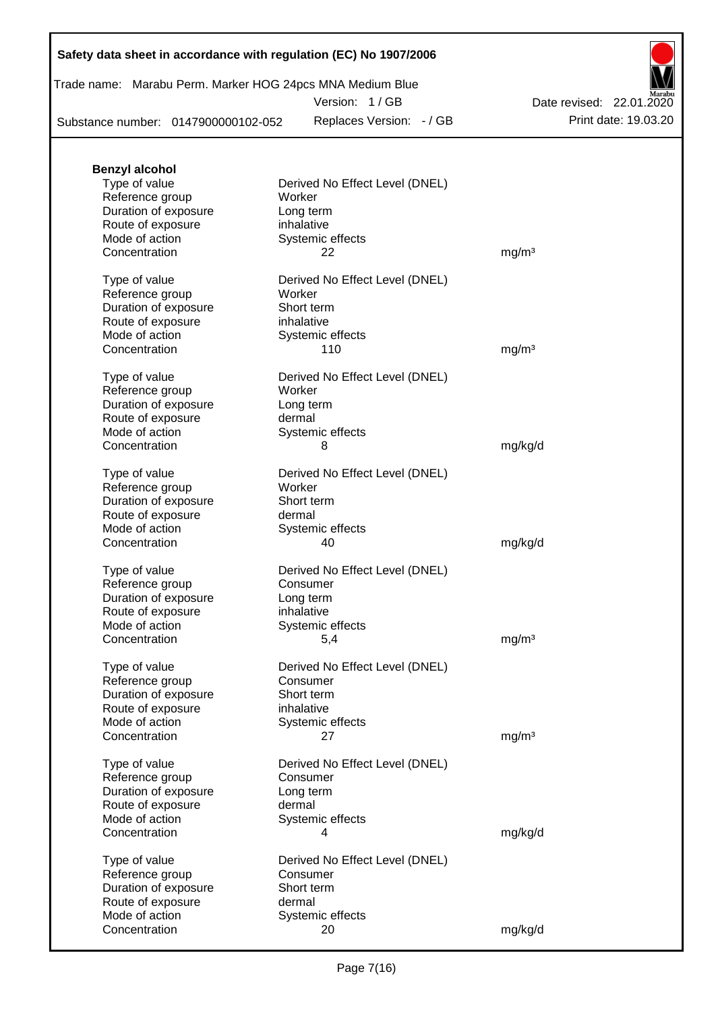|  | Trade name: Marabu Perm. Marker HOG 24pcs MNA Medium Blue |  |  |  |
|--|-----------------------------------------------------------|--|--|--|
|--|-----------------------------------------------------------|--|--|--|

Version: 1 / GB

Substance number: 0147900000102-052

Replaces Version: - / GB Print date: 19.03.20 Date revised: 22.01.2020

| <b>Benzyl alcohol</b> |                                |                   |
|-----------------------|--------------------------------|-------------------|
| Type of value         | Derived No Effect Level (DNEL) |                   |
| Reference group       | Worker                         |                   |
| Duration of exposure  | Long term                      |                   |
| Route of exposure     | inhalative                     |                   |
| Mode of action        | Systemic effects               |                   |
| Concentration         | 22                             | mg/m <sup>3</sup> |
|                       |                                |                   |
| Type of value         | Derived No Effect Level (DNEL) |                   |
| Reference group       | Worker                         |                   |
| Duration of exposure  | Short term                     |                   |
| Route of exposure     | inhalative                     |                   |
| Mode of action        | Systemic effects               |                   |
| Concentration         | 110                            | mg/m <sup>3</sup> |
|                       |                                |                   |
| Type of value         | Derived No Effect Level (DNEL) |                   |
| Reference group       | Worker                         |                   |
| Duration of exposure  | Long term                      |                   |
| Route of exposure     | dermal                         |                   |
| Mode of action        | Systemic effects               |                   |
| Concentration         | 8                              | mg/kg/d           |
|                       |                                |                   |
| Type of value         | Derived No Effect Level (DNEL) |                   |
| Reference group       | Worker                         |                   |
| Duration of exposure  | Short term                     |                   |
| Route of exposure     | dermal                         |                   |
| Mode of action        | Systemic effects               |                   |
| Concentration         | 40                             | mg/kg/d           |
|                       |                                |                   |
| Type of value         | Derived No Effect Level (DNEL) |                   |
| Reference group       | Consumer                       |                   |
| Duration of exposure  | Long term                      |                   |
| Route of exposure     | inhalative                     |                   |
| Mode of action        | Systemic effects               |                   |
| Concentration         | 5,4                            | mg/m <sup>3</sup> |
|                       |                                |                   |
| Type of value         | Derived No Effect Level (DNEL) |                   |
| Reference group       | Consumer                       |                   |
| Duration of exposure  | Short term                     |                   |
| Route of exposure     | inhalative                     |                   |
| Mode of action        | Systemic effects               |                   |
| Concentration         | 27                             | mg/m <sup>3</sup> |
|                       |                                |                   |
| Type of value         | Derived No Effect Level (DNEL) |                   |
| Reference group       | Consumer                       |                   |
| Duration of exposure  | Long term                      |                   |
| Route of exposure     | dermal                         |                   |
| Mode of action        | Systemic effects               |                   |
| Concentration         | 4                              |                   |
|                       |                                | mg/kg/d           |
| Type of value         | Derived No Effect Level (DNEL) |                   |
| Reference group       | Consumer                       |                   |
| Duration of exposure  | Short term                     |                   |
| Route of exposure     | dermal                         |                   |
| Mode of action        |                                |                   |
| Concentration         | Systemic effects<br>20         |                   |
|                       |                                | mg/kg/d           |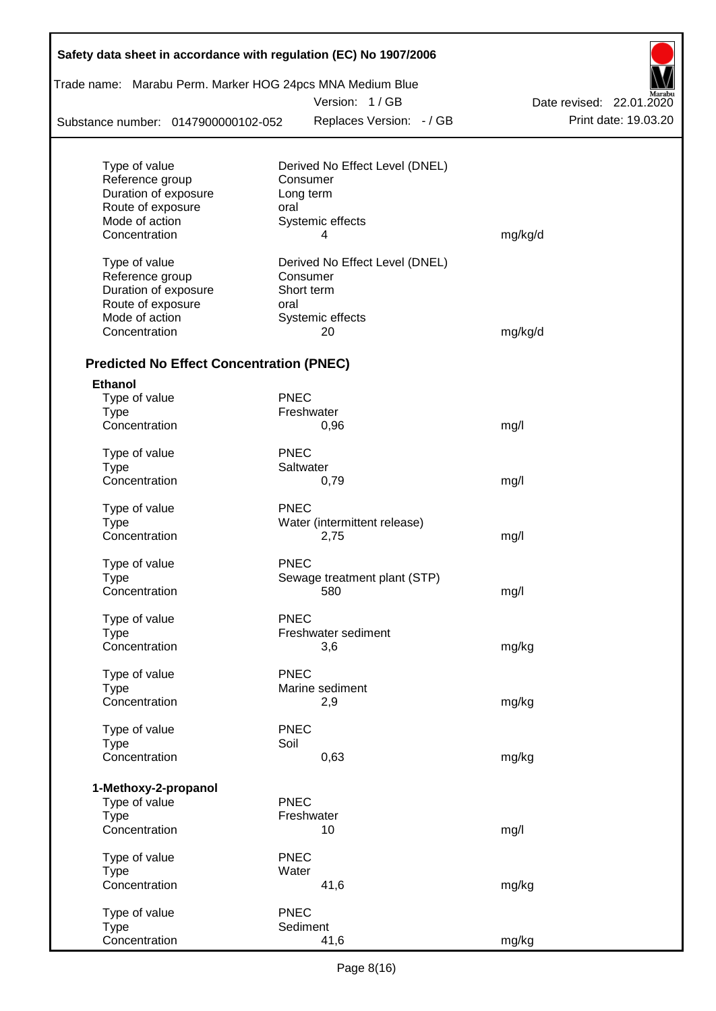|                                                 |             | Trade name: Marabu Perm. Marker HOG 24pcs MNA Medium Blue |                          |
|-------------------------------------------------|-------------|-----------------------------------------------------------|--------------------------|
|                                                 |             | Version: 1/GB                                             | Date revised: 22.01.2020 |
| Substance number: 0147900000102-052             |             | Replaces Version: - / GB                                  | Print date: 19.03.20     |
|                                                 |             |                                                           |                          |
| Type of value                                   |             | Derived No Effect Level (DNEL)                            |                          |
| Reference group                                 |             | Consumer                                                  |                          |
| Duration of exposure                            |             | Long term                                                 |                          |
| Route of exposure<br>Mode of action             | oral        | Systemic effects                                          |                          |
| Concentration                                   |             | 4                                                         | mg/kg/d                  |
|                                                 |             |                                                           |                          |
| Type of value                                   |             | Derived No Effect Level (DNEL)                            |                          |
| Reference group                                 |             | Consumer                                                  |                          |
| Duration of exposure                            |             | Short term                                                |                          |
| Route of exposure                               | oral        |                                                           |                          |
| Mode of action                                  |             | Systemic effects                                          |                          |
| Concentration                                   |             | 20                                                        | mg/kg/d                  |
|                                                 |             |                                                           |                          |
| <b>Predicted No Effect Concentration (PNEC)</b> |             |                                                           |                          |
| <b>Ethanol</b><br>Type of value                 | <b>PNEC</b> |                                                           |                          |
| <b>Type</b>                                     |             | Freshwater                                                |                          |
| Concentration                                   |             | 0,96                                                      | mg/l                     |
|                                                 |             |                                                           |                          |
| Type of value                                   | <b>PNEC</b> |                                                           |                          |
| <b>Type</b>                                     |             | Saltwater                                                 |                          |
| Concentration                                   |             | 0,79                                                      | mg/l                     |
| Type of value                                   | <b>PNEC</b> |                                                           |                          |
| <b>Type</b>                                     |             | Water (intermittent release)                              |                          |
| Concentration                                   |             | 2,75                                                      | mg/l                     |
|                                                 | <b>PNEC</b> |                                                           |                          |
| Type of value                                   |             |                                                           |                          |
| Type<br>Concentration                           |             | Sewage treatment plant (STP)<br>580                       |                          |
|                                                 |             |                                                           | mg/l                     |
| Type of value                                   | PNEC        |                                                           |                          |
| <b>Type</b>                                     |             | Freshwater sediment                                       |                          |
| Concentration                                   |             | 3,6                                                       | mg/kg                    |
|                                                 |             |                                                           |                          |
| Type of value                                   | <b>PNEC</b> |                                                           |                          |
| <b>Type</b>                                     |             | Marine sediment                                           |                          |
| Concentration                                   |             | 2,9                                                       | mg/kg                    |
| Type of value                                   | <b>PNEC</b> |                                                           |                          |
| <b>Type</b>                                     | Soil        |                                                           |                          |
| Concentration                                   |             | 0,63                                                      | mg/kg                    |
|                                                 |             |                                                           |                          |
| 1-Methoxy-2-propanol                            |             |                                                           |                          |
| Type of value                                   | <b>PNEC</b> | Freshwater                                                |                          |
| <b>Type</b><br>Concentration                    |             | 10                                                        | mg/l                     |
|                                                 |             |                                                           |                          |
| Type of value                                   | <b>PNEC</b> |                                                           |                          |
| <b>Type</b>                                     | Water       |                                                           |                          |
| Concentration                                   |             | 41,6                                                      | mg/kg                    |
| Type of value                                   | <b>PNEC</b> |                                                           |                          |
| <b>Type</b>                                     |             | Sediment                                                  |                          |
| Concentration                                   |             | 41,6                                                      | mg/kg                    |

Г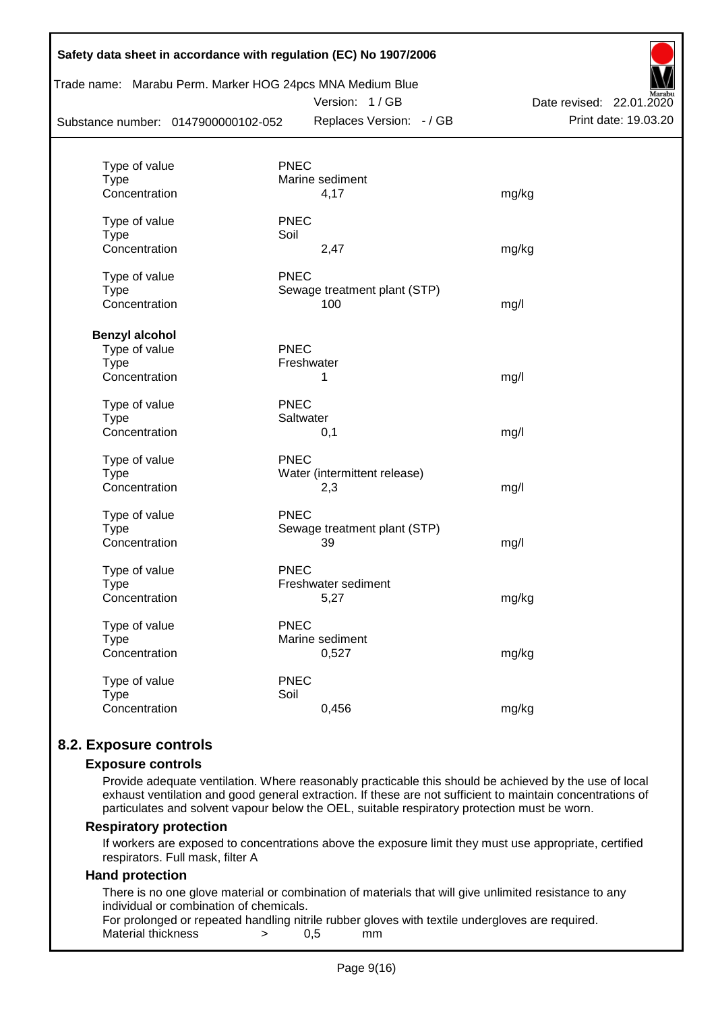| Substance number: 0147900000102-052 |             | Trade name: Marabu Perm. Marker HOG 24pcs MNA Medium Blue<br>Version: 1/GB<br>Replaces Version: - / GB | Date revised: 22.01.2020<br>Print date: 19.03.20 |
|-------------------------------------|-------------|--------------------------------------------------------------------------------------------------------|--------------------------------------------------|
|                                     |             |                                                                                                        |                                                  |
| Type of value                       | <b>PNEC</b> |                                                                                                        |                                                  |
| <b>Type</b>                         |             | Marine sediment                                                                                        |                                                  |
| Concentration                       |             | 4,17                                                                                                   | mg/kg                                            |
| Type of value                       | <b>PNEC</b> |                                                                                                        |                                                  |
| <b>Type</b>                         | Soil        |                                                                                                        |                                                  |
| Concentration                       |             | 2,47                                                                                                   | mg/kg                                            |
| Type of value                       | <b>PNEC</b> |                                                                                                        |                                                  |
| <b>Type</b>                         |             | Sewage treatment plant (STP)                                                                           |                                                  |
| Concentration                       |             | 100                                                                                                    | mg/l                                             |
| <b>Benzyl alcohol</b>               |             |                                                                                                        |                                                  |
| Type of value                       | PNEC        |                                                                                                        |                                                  |
| <b>Type</b>                         |             | Freshwater                                                                                             |                                                  |
| Concentration                       |             | 1                                                                                                      | mg/l                                             |
| Type of value                       | <b>PNEC</b> |                                                                                                        |                                                  |
| Type                                |             | Saltwater                                                                                              |                                                  |
| Concentration                       |             | 0,1                                                                                                    | mg/l                                             |
| Type of value                       | <b>PNEC</b> |                                                                                                        |                                                  |
| <b>Type</b>                         |             | Water (intermittent release)                                                                           |                                                  |
| Concentration                       |             | 2,3                                                                                                    | mg/l                                             |
| Type of value                       | <b>PNEC</b> |                                                                                                        |                                                  |
| <b>Type</b>                         |             | Sewage treatment plant (STP)                                                                           |                                                  |
| Concentration                       |             | 39                                                                                                     | mg/l                                             |
| Type of value                       | <b>PNEC</b> |                                                                                                        |                                                  |
| Type                                |             | Freshwater sediment                                                                                    |                                                  |
| Concentration                       |             | 5,27                                                                                                   | mg/kg                                            |
| Type of value                       | <b>PNEC</b> |                                                                                                        |                                                  |
| <b>Type</b>                         |             | Marine sediment                                                                                        |                                                  |
| Concentration                       |             | 0,527                                                                                                  | mg/kg                                            |
| Type of value                       | <b>PNEC</b> |                                                                                                        |                                                  |
| <b>Type</b>                         | Soil        |                                                                                                        |                                                  |
| Concentration                       |             | 0,456                                                                                                  | mg/kg                                            |

## **8.2. Exposure controls**

#### **Exposure controls**

Provide adequate ventilation. Where reasonably practicable this should be achieved by the use of local exhaust ventilation and good general extraction. If these are not sufficient to maintain concentrations of particulates and solvent vapour below the OEL, suitable respiratory protection must be worn.

#### **Respiratory protection**

If workers are exposed to concentrations above the exposure limit they must use appropriate, certified respirators. Full mask, filter A

#### **Hand protection**

There is no one glove material or combination of materials that will give unlimited resistance to any individual or combination of chemicals.

For prolonged or repeated handling nitrile rubber gloves with textile undergloves are required. Material thickness  $\rightarrow$  0.5 mm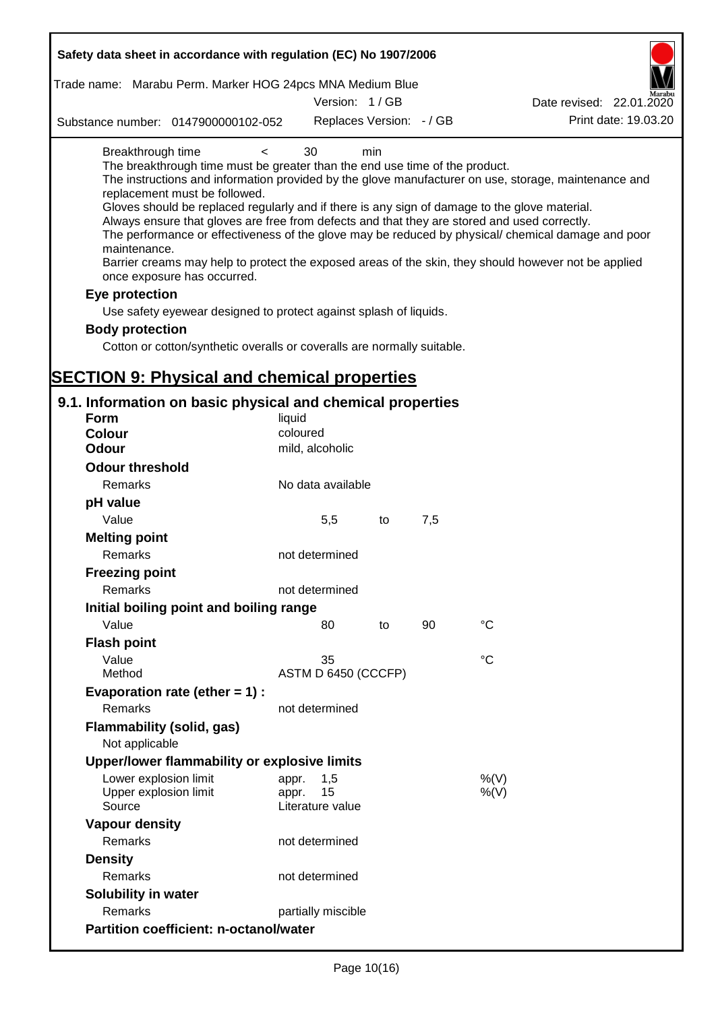| Safety data sheet in accordance with regulation (EC) No 1907/2006                                                                                                                                                                                                                                                                                                                            |                             |     |     |                                                                                                                                                                                                                                                                                                                    |
|----------------------------------------------------------------------------------------------------------------------------------------------------------------------------------------------------------------------------------------------------------------------------------------------------------------------------------------------------------------------------------------------|-----------------------------|-----|-----|--------------------------------------------------------------------------------------------------------------------------------------------------------------------------------------------------------------------------------------------------------------------------------------------------------------------|
| Trade name: Marabu Perm. Marker HOG 24pcs MNA Medium Blue                                                                                                                                                                                                                                                                                                                                    | Version: 1/GB               |     |     | Date revised: 22.01.2020                                                                                                                                                                                                                                                                                           |
| Substance number: 0147900000102-052                                                                                                                                                                                                                                                                                                                                                          | Replaces Version: - / GB    |     |     | Print date: 19.03.20                                                                                                                                                                                                                                                                                               |
|                                                                                                                                                                                                                                                                                                                                                                                              |                             |     |     |                                                                                                                                                                                                                                                                                                                    |
| Breakthrough time<br>$\,<\,$<br>The breakthrough time must be greater than the end use time of the product.<br>replacement must be followed.<br>Gloves should be replaced regularly and if there is any sign of damage to the glove material.<br>Always ensure that gloves are free from defects and that they are stored and used correctly.<br>maintenance.<br>once exposure has occurred. | 30                          | min |     | The instructions and information provided by the glove manufacturer on use, storage, maintenance and<br>The performance or effectiveness of the glove may be reduced by physical/ chemical damage and poor<br>Barrier creams may help to protect the exposed areas of the skin, they should however not be applied |
| Eye protection                                                                                                                                                                                                                                                                                                                                                                               |                             |     |     |                                                                                                                                                                                                                                                                                                                    |
| Use safety eyewear designed to protect against splash of liquids.                                                                                                                                                                                                                                                                                                                            |                             |     |     |                                                                                                                                                                                                                                                                                                                    |
| <b>Body protection</b>                                                                                                                                                                                                                                                                                                                                                                       |                             |     |     |                                                                                                                                                                                                                                                                                                                    |
| Cotton or cotton/synthetic overalls or coveralls are normally suitable.                                                                                                                                                                                                                                                                                                                      |                             |     |     |                                                                                                                                                                                                                                                                                                                    |
|                                                                                                                                                                                                                                                                                                                                                                                              |                             |     |     |                                                                                                                                                                                                                                                                                                                    |
| <b>SECTION 9: Physical and chemical properties</b>                                                                                                                                                                                                                                                                                                                                           |                             |     |     |                                                                                                                                                                                                                                                                                                                    |
| 9.1. Information on basic physical and chemical properties                                                                                                                                                                                                                                                                                                                                   |                             |     |     |                                                                                                                                                                                                                                                                                                                    |
| <b>Form</b>                                                                                                                                                                                                                                                                                                                                                                                  | liquid                      |     |     |                                                                                                                                                                                                                                                                                                                    |
| <b>Colour</b>                                                                                                                                                                                                                                                                                                                                                                                | coloured                    |     |     |                                                                                                                                                                                                                                                                                                                    |
| <b>Odour</b>                                                                                                                                                                                                                                                                                                                                                                                 | mild, alcoholic             |     |     |                                                                                                                                                                                                                                                                                                                    |
| <b>Odour threshold</b>                                                                                                                                                                                                                                                                                                                                                                       |                             |     |     |                                                                                                                                                                                                                                                                                                                    |
| Remarks                                                                                                                                                                                                                                                                                                                                                                                      | No data available           |     |     |                                                                                                                                                                                                                                                                                                                    |
| pH value                                                                                                                                                                                                                                                                                                                                                                                     |                             |     |     |                                                                                                                                                                                                                                                                                                                    |
| Value                                                                                                                                                                                                                                                                                                                                                                                        | 5,5                         | to  | 7,5 |                                                                                                                                                                                                                                                                                                                    |
| <b>Melting point</b>                                                                                                                                                                                                                                                                                                                                                                         |                             |     |     |                                                                                                                                                                                                                                                                                                                    |
| Remarks                                                                                                                                                                                                                                                                                                                                                                                      | not determined              |     |     |                                                                                                                                                                                                                                                                                                                    |
| <b>Freezing point</b>                                                                                                                                                                                                                                                                                                                                                                        |                             |     |     |                                                                                                                                                                                                                                                                                                                    |
| Remarks                                                                                                                                                                                                                                                                                                                                                                                      | not determined              |     |     |                                                                                                                                                                                                                                                                                                                    |
| Initial boiling point and boiling range                                                                                                                                                                                                                                                                                                                                                      |                             |     |     |                                                                                                                                                                                                                                                                                                                    |
| Value                                                                                                                                                                                                                                                                                                                                                                                        | 80                          | to  | 90  | $\rm ^{\circ}C$                                                                                                                                                                                                                                                                                                    |
| <b>Flash point</b>                                                                                                                                                                                                                                                                                                                                                                           |                             |     |     |                                                                                                                                                                                                                                                                                                                    |
| Value                                                                                                                                                                                                                                                                                                                                                                                        | 35                          |     |     | °C                                                                                                                                                                                                                                                                                                                 |
| Method                                                                                                                                                                                                                                                                                                                                                                                       | ASTM D 6450 (CCCFP)         |     |     |                                                                                                                                                                                                                                                                                                                    |
| Evaporation rate (ether $= 1$ ) :                                                                                                                                                                                                                                                                                                                                                            |                             |     |     |                                                                                                                                                                                                                                                                                                                    |
| Remarks                                                                                                                                                                                                                                                                                                                                                                                      | not determined              |     |     |                                                                                                                                                                                                                                                                                                                    |
| <b>Flammability (solid, gas)</b>                                                                                                                                                                                                                                                                                                                                                             |                             |     |     |                                                                                                                                                                                                                                                                                                                    |
| Not applicable                                                                                                                                                                                                                                                                                                                                                                               |                             |     |     |                                                                                                                                                                                                                                                                                                                    |
| Upper/lower flammability or explosive limits                                                                                                                                                                                                                                                                                                                                                 |                             |     |     |                                                                                                                                                                                                                                                                                                                    |
| Lower explosion limit<br>Upper explosion limit                                                                                                                                                                                                                                                                                                                                               | 1,5<br>appr.<br>15<br>appr. |     |     | %(V)<br>$%$ (V)                                                                                                                                                                                                                                                                                                    |
| Source                                                                                                                                                                                                                                                                                                                                                                                       | Literature value            |     |     |                                                                                                                                                                                                                                                                                                                    |
| <b>Vapour density</b>                                                                                                                                                                                                                                                                                                                                                                        |                             |     |     |                                                                                                                                                                                                                                                                                                                    |
| Remarks                                                                                                                                                                                                                                                                                                                                                                                      | not determined              |     |     |                                                                                                                                                                                                                                                                                                                    |
| <b>Density</b>                                                                                                                                                                                                                                                                                                                                                                               |                             |     |     |                                                                                                                                                                                                                                                                                                                    |
| Remarks                                                                                                                                                                                                                                                                                                                                                                                      | not determined              |     |     |                                                                                                                                                                                                                                                                                                                    |
| Solubility in water                                                                                                                                                                                                                                                                                                                                                                          |                             |     |     |                                                                                                                                                                                                                                                                                                                    |
| Remarks                                                                                                                                                                                                                                                                                                                                                                                      | partially miscible          |     |     |                                                                                                                                                                                                                                                                                                                    |
| <b>Partition coefficient: n-octanol/water</b>                                                                                                                                                                                                                                                                                                                                                |                             |     |     |                                                                                                                                                                                                                                                                                                                    |
|                                                                                                                                                                                                                                                                                                                                                                                              |                             |     |     |                                                                                                                                                                                                                                                                                                                    |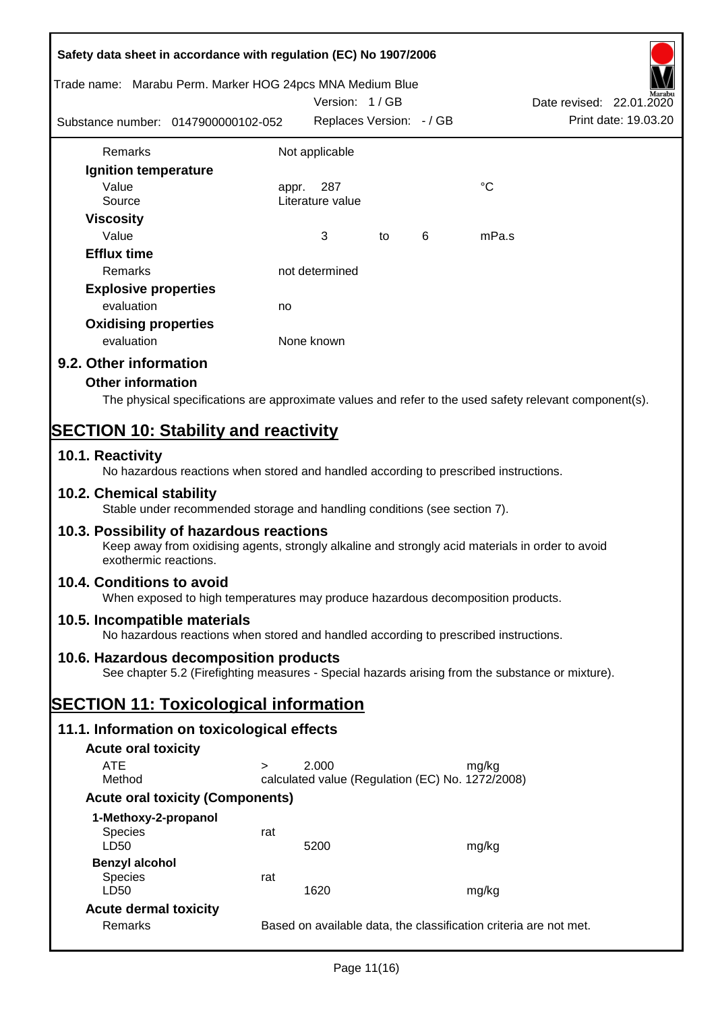|                              | Safety data sheet in accordance with regulation (EC) No 1907/2006                                                                                                 |                                                  |                          |   |             |                                                                                                        |
|------------------------------|-------------------------------------------------------------------------------------------------------------------------------------------------------------------|--------------------------------------------------|--------------------------|---|-------------|--------------------------------------------------------------------------------------------------------|
|                              | Trade name: Marabu Perm. Marker HOG 24pcs MNA Medium Blue                                                                                                         |                                                  |                          |   |             |                                                                                                        |
|                              |                                                                                                                                                                   |                                                  | Version: 1/GB            |   |             | Date revised: 22.01.2020                                                                               |
|                              | Substance number: 0147900000102-052                                                                                                                               |                                                  | Replaces Version: - / GB |   |             | Print date: 19.03.20                                                                                   |
| Remarks                      |                                                                                                                                                                   | Not applicable                                   |                          |   |             |                                                                                                        |
| Ignition temperature         |                                                                                                                                                                   |                                                  |                          |   |             |                                                                                                        |
| Value                        |                                                                                                                                                                   | 287<br>appr.                                     |                          |   | $^{\circ}C$ |                                                                                                        |
| Source                       |                                                                                                                                                                   | Literature value                                 |                          |   |             |                                                                                                        |
| <b>Viscosity</b>             |                                                                                                                                                                   |                                                  |                          |   |             |                                                                                                        |
| Value                        |                                                                                                                                                                   | 3                                                | to                       | 6 | mPa.s       |                                                                                                        |
| <b>Efflux time</b>           |                                                                                                                                                                   |                                                  |                          |   |             |                                                                                                        |
| Remarks                      |                                                                                                                                                                   | not determined                                   |                          |   |             |                                                                                                        |
| <b>Explosive properties</b>  |                                                                                                                                                                   |                                                  |                          |   |             |                                                                                                        |
| evaluation                   |                                                                                                                                                                   | no                                               |                          |   |             |                                                                                                        |
| <b>Oxidising properties</b>  |                                                                                                                                                                   |                                                  |                          |   |             |                                                                                                        |
| evaluation                   |                                                                                                                                                                   | None known                                       |                          |   |             |                                                                                                        |
| 9.2. Other information       |                                                                                                                                                                   |                                                  |                          |   |             |                                                                                                        |
| <b>Other information</b>     |                                                                                                                                                                   |                                                  |                          |   |             |                                                                                                        |
|                              |                                                                                                                                                                   |                                                  |                          |   |             | The physical specifications are approximate values and refer to the used safety relevant component(s). |
|                              | <b>SECTION 10: Stability and reactivity</b>                                                                                                                       |                                                  |                          |   |             |                                                                                                        |
| 10.1. Reactivity             |                                                                                                                                                                   |                                                  |                          |   |             |                                                                                                        |
| 10.2. Chemical stability     | No hazardous reactions when stored and handled according to prescribed instructions.<br>Stable under recommended storage and handling conditions (see section 7). |                                                  |                          |   |             |                                                                                                        |
|                              |                                                                                                                                                                   |                                                  |                          |   |             |                                                                                                        |
| exothermic reactions.        | 10.3. Possibility of hazardous reactions<br>Keep away from oxidising agents, strongly alkaline and strongly acid materials in order to avoid                      |                                                  |                          |   |             |                                                                                                        |
| 10.4. Conditions to avoid    | When exposed to high temperatures may produce hazardous decomposition products.                                                                                   |                                                  |                          |   |             |                                                                                                        |
| 10.5. Incompatible materials | No hazardous reactions when stored and handled according to prescribed instructions.                                                                              |                                                  |                          |   |             |                                                                                                        |
|                              | 10.6. Hazardous decomposition products                                                                                                                            |                                                  |                          |   |             |                                                                                                        |
|                              | See chapter 5.2 (Firefighting measures - Special hazards arising from the substance or mixture).                                                                  |                                                  |                          |   |             |                                                                                                        |
|                              | <b>SECTION 11: Toxicological information</b>                                                                                                                      |                                                  |                          |   |             |                                                                                                        |
|                              | 11.1. Information on toxicological effects                                                                                                                        |                                                  |                          |   |             |                                                                                                        |
| <b>Acute oral toxicity</b>   |                                                                                                                                                                   |                                                  |                          |   |             |                                                                                                        |
| <b>ATE</b>                   | $\geq$                                                                                                                                                            | 2.000                                            |                          |   | mg/kg       |                                                                                                        |
| Method                       |                                                                                                                                                                   | calculated value (Regulation (EC) No. 1272/2008) |                          |   |             |                                                                                                        |
|                              | <b>Acute oral toxicity (Components)</b>                                                                                                                           |                                                  |                          |   |             |                                                                                                        |
| 1-Methoxy-2-propanol         |                                                                                                                                                                   |                                                  |                          |   |             |                                                                                                        |
| <b>Species</b>               | rat                                                                                                                                                               |                                                  |                          |   |             |                                                                                                        |
| LD50                         |                                                                                                                                                                   | 5200                                             |                          |   | mg/kg       |                                                                                                        |
| <b>Benzyl alcohol</b>        |                                                                                                                                                                   |                                                  |                          |   |             |                                                                                                        |
| <b>Species</b><br>LD50       | rat                                                                                                                                                               | 1620                                             |                          |   | mg/kg       |                                                                                                        |
| <b>Acute dermal toxicity</b> |                                                                                                                                                                   |                                                  |                          |   |             |                                                                                                        |
| Remarks                      |                                                                                                                                                                   |                                                  |                          |   |             | Based on available data, the classification criteria are not met.                                      |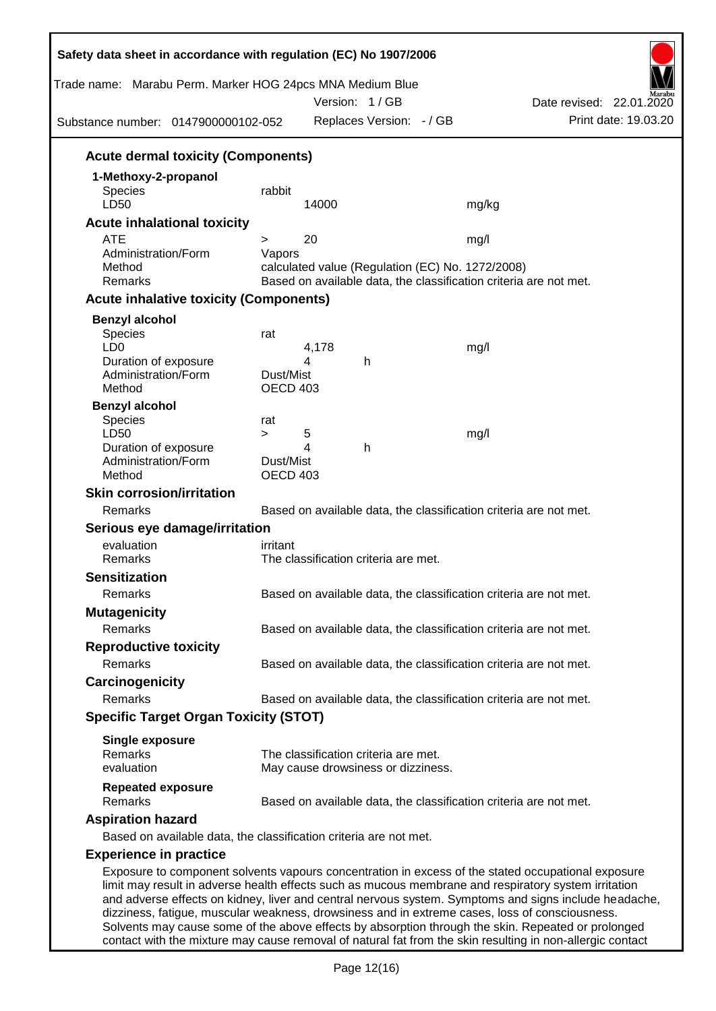| Trade name: Marabu Perm. Marker HOG 24pcs MNA Medium Blue<br>Substance number: 0147900000102-052                                                                                                           |                              |       | Version: 1/GB<br>Replaces Version: - / GB |                                                  | Date revised: 22.01.2020<br>Print date: 19.03.20                                                      |
|------------------------------------------------------------------------------------------------------------------------------------------------------------------------------------------------------------|------------------------------|-------|-------------------------------------------|--------------------------------------------------|-------------------------------------------------------------------------------------------------------|
| <b>Acute dermal toxicity (Components)</b>                                                                                                                                                                  |                              |       |                                           |                                                  |                                                                                                       |
| 1-Methoxy-2-propanol                                                                                                                                                                                       |                              |       |                                           |                                                  |                                                                                                       |
| <b>Species</b>                                                                                                                                                                                             | rabbit                       |       |                                           |                                                  |                                                                                                       |
| LD50                                                                                                                                                                                                       |                              | 14000 |                                           | mg/kg                                            |                                                                                                       |
| <b>Acute inhalational toxicity</b>                                                                                                                                                                         |                              |       |                                           |                                                  |                                                                                                       |
| <b>ATE</b>                                                                                                                                                                                                 | >                            | 20    |                                           | mg/l                                             |                                                                                                       |
| Administration/Form<br>Method                                                                                                                                                                              | Vapors                       |       |                                           | calculated value (Regulation (EC) No. 1272/2008) |                                                                                                       |
| Remarks                                                                                                                                                                                                    |                              |       |                                           |                                                  | Based on available data, the classification criteria are not met.                                     |
| <b>Acute inhalative toxicity (Components)</b>                                                                                                                                                              |                              |       |                                           |                                                  |                                                                                                       |
| <b>Benzyl alcohol</b>                                                                                                                                                                                      |                              |       |                                           |                                                  |                                                                                                       |
| Species                                                                                                                                                                                                    | rat                          |       |                                           |                                                  |                                                                                                       |
| LD <sub>0</sub>                                                                                                                                                                                            |                              | 4,178 |                                           | mg/l                                             |                                                                                                       |
| Duration of exposure                                                                                                                                                                                       |                              | 4     | h                                         |                                                  |                                                                                                       |
| Administration/Form<br>Method                                                                                                                                                                              | Dust/Mist<br><b>OECD 403</b> |       |                                           |                                                  |                                                                                                       |
| <b>Benzyl alcohol</b>                                                                                                                                                                                      |                              |       |                                           |                                                  |                                                                                                       |
| <b>Species</b>                                                                                                                                                                                             | rat                          |       |                                           |                                                  |                                                                                                       |
| LD50                                                                                                                                                                                                       | $\geq$                       | 5     |                                           | mg/l                                             |                                                                                                       |
| Duration of exposure                                                                                                                                                                                       |                              | 4     | h                                         |                                                  |                                                                                                       |
| Administration/Form<br>Method                                                                                                                                                                              | Dust/Mist<br><b>OECD 403</b> |       |                                           |                                                  |                                                                                                       |
| <b>Skin corrosion/irritation</b>                                                                                                                                                                           |                              |       |                                           |                                                  |                                                                                                       |
| Remarks                                                                                                                                                                                                    |                              |       |                                           |                                                  | Based on available data, the classification criteria are not met.                                     |
| Serious eye damage/irritation                                                                                                                                                                              |                              |       |                                           |                                                  |                                                                                                       |
| evaluation                                                                                                                                                                                                 | irritant                     |       |                                           |                                                  |                                                                                                       |
| Remarks                                                                                                                                                                                                    |                              |       | The classification criteria are met.      |                                                  |                                                                                                       |
| <b>Sensitization</b>                                                                                                                                                                                       |                              |       |                                           |                                                  |                                                                                                       |
| Remarks                                                                                                                                                                                                    |                              |       |                                           |                                                  | Based on available data, the classification criteria are not met.                                     |
| <b>Mutagenicity</b>                                                                                                                                                                                        |                              |       |                                           |                                                  |                                                                                                       |
| Remarks                                                                                                                                                                                                    |                              |       |                                           |                                                  | Based on available data, the classification criteria are not met.                                     |
| <b>Reproductive toxicity</b>                                                                                                                                                                               |                              |       |                                           |                                                  |                                                                                                       |
| Remarks                                                                                                                                                                                                    |                              |       |                                           |                                                  | Based on available data, the classification criteria are not met.                                     |
| Carcinogenicity                                                                                                                                                                                            |                              |       |                                           |                                                  |                                                                                                       |
| Remarks                                                                                                                                                                                                    |                              |       |                                           |                                                  | Based on available data, the classification criteria are not met.                                     |
| <b>Specific Target Organ Toxicity (STOT)</b>                                                                                                                                                               |                              |       |                                           |                                                  |                                                                                                       |
| <b>Single exposure</b>                                                                                                                                                                                     |                              |       |                                           |                                                  |                                                                                                       |
| Remarks                                                                                                                                                                                                    |                              |       | The classification criteria are met.      |                                                  |                                                                                                       |
| evaluation                                                                                                                                                                                                 |                              |       | May cause drowsiness or dizziness.        |                                                  |                                                                                                       |
| <b>Repeated exposure</b><br>Remarks                                                                                                                                                                        |                              |       |                                           |                                                  | Based on available data, the classification criteria are not met.                                     |
| <b>Aspiration hazard</b>                                                                                                                                                                                   |                              |       |                                           |                                                  |                                                                                                       |
| Based on available data, the classification criteria are not met.                                                                                                                                          |                              |       |                                           |                                                  |                                                                                                       |
| <b>Experience in practice</b>                                                                                                                                                                              |                              |       |                                           |                                                  |                                                                                                       |
| Exposure to component solvents vapours concentration in excess of the stated occupational exposure<br>limit may result in adverse health effects such as mucous membrane and respiratory system irritation |                              |       |                                           |                                                  | and adverse effects on kidney, liver and central nervous system. Symptoms and signs include headache, |

dizziness, fatigue, muscular weakness, drowsiness and in extreme cases, loss of consciousness. Solvents may cause some of the above effects by absorption through the skin. Repeated or prolonged contact with the mixture may cause removal of natural fat from the skin resulting in non-allergic contact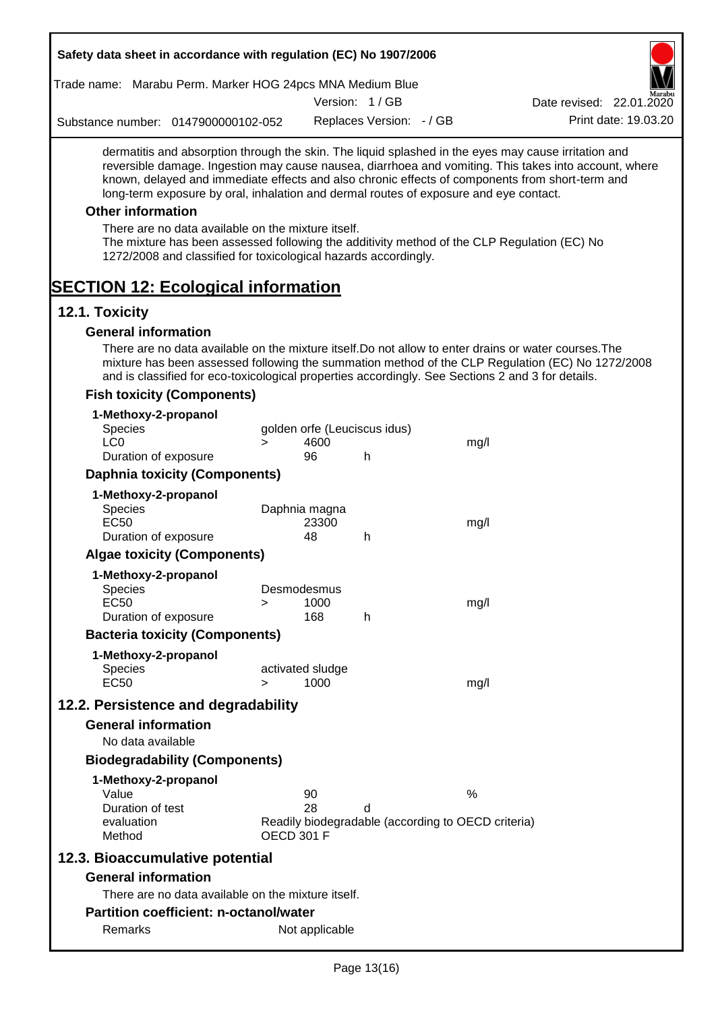| Safety data sheet in accordance with regulation (EC) No 1907/2006                                                                                                                                                                                                                                                                                                                                                                                                                                                                                    |                   |                          |                              |                                                    |                                                                                                       |
|------------------------------------------------------------------------------------------------------------------------------------------------------------------------------------------------------------------------------------------------------------------------------------------------------------------------------------------------------------------------------------------------------------------------------------------------------------------------------------------------------------------------------------------------------|-------------------|--------------------------|------------------------------|----------------------------------------------------|-------------------------------------------------------------------------------------------------------|
| Trade name: Marabu Perm. Marker HOG 24pcs MNA Medium Blue                                                                                                                                                                                                                                                                                                                                                                                                                                                                                            |                   |                          |                              |                                                    |                                                                                                       |
|                                                                                                                                                                                                                                                                                                                                                                                                                                                                                                                                                      |                   |                          | Version: 1/GB                |                                                    | Date revised: 22.01.2020                                                                              |
| Substance number: 0147900000102-052                                                                                                                                                                                                                                                                                                                                                                                                                                                                                                                  |                   |                          | Replaces Version: - / GB     |                                                    | Print date: 19.03.20                                                                                  |
| dermatitis and absorption through the skin. The liquid splashed in the eyes may cause irritation and<br>known, delayed and immediate effects and also chronic effects of components from short-term and<br>long-term exposure by oral, inhalation and dermal routes of exposure and eye contact.<br><b>Other information</b><br>There are no data available on the mixture itself.<br>The mixture has been assessed following the additivity method of the CLP Regulation (EC) No<br>1272/2008 and classified for toxicological hazards accordingly. |                   |                          |                              |                                                    | reversible damage. Ingestion may cause nausea, diarrhoea and vomiting. This takes into account, where |
| <b>SECTION 12: Ecological information</b>                                                                                                                                                                                                                                                                                                                                                                                                                                                                                                            |                   |                          |                              |                                                    |                                                                                                       |
| 12.1. Toxicity                                                                                                                                                                                                                                                                                                                                                                                                                                                                                                                                       |                   |                          |                              |                                                    |                                                                                                       |
| <b>General information</b>                                                                                                                                                                                                                                                                                                                                                                                                                                                                                                                           |                   |                          |                              |                                                    |                                                                                                       |
| There are no data available on the mixture itself. Do not allow to enter drains or water courses. The<br>and is classified for eco-toxicological properties accordingly. See Sections 2 and 3 for details.                                                                                                                                                                                                                                                                                                                                           |                   |                          |                              |                                                    | mixture has been assessed following the summation method of the CLP Regulation (EC) No 1272/2008      |
| <b>Fish toxicity (Components)</b>                                                                                                                                                                                                                                                                                                                                                                                                                                                                                                                    |                   |                          |                              |                                                    |                                                                                                       |
| 1-Methoxy-2-propanol<br>Species                                                                                                                                                                                                                                                                                                                                                                                                                                                                                                                      |                   |                          | golden orfe (Leuciscus idus) |                                                    |                                                                                                       |
| LC <sub>0</sub><br>Duration of exposure                                                                                                                                                                                                                                                                                                                                                                                                                                                                                                              | $\geq$            | 4600<br>96               | h                            | mg/l                                               |                                                                                                       |
| <b>Daphnia toxicity (Components)</b>                                                                                                                                                                                                                                                                                                                                                                                                                                                                                                                 |                   |                          |                              |                                                    |                                                                                                       |
| 1-Methoxy-2-propanol                                                                                                                                                                                                                                                                                                                                                                                                                                                                                                                                 |                   |                          |                              |                                                    |                                                                                                       |
| Species<br><b>EC50</b>                                                                                                                                                                                                                                                                                                                                                                                                                                                                                                                               |                   | Daphnia magna<br>23300   |                              | mg/l                                               |                                                                                                       |
| Duration of exposure                                                                                                                                                                                                                                                                                                                                                                                                                                                                                                                                 |                   | 48                       | h                            |                                                    |                                                                                                       |
| <b>Algae toxicity (Components)</b>                                                                                                                                                                                                                                                                                                                                                                                                                                                                                                                   |                   |                          |                              |                                                    |                                                                                                       |
| 1-Methoxy-2-propanol                                                                                                                                                                                                                                                                                                                                                                                                                                                                                                                                 |                   |                          |                              |                                                    |                                                                                                       |
| <b>Species</b>                                                                                                                                                                                                                                                                                                                                                                                                                                                                                                                                       |                   | Desmodesmus              |                              |                                                    |                                                                                                       |
| <b>EC50</b><br>Duration of exposure                                                                                                                                                                                                                                                                                                                                                                                                                                                                                                                  | >                 | 1000<br>168              | h                            | mg/l                                               |                                                                                                       |
| <b>Bacteria toxicity (Components)</b>                                                                                                                                                                                                                                                                                                                                                                                                                                                                                                                |                   |                          |                              |                                                    |                                                                                                       |
| 1-Methoxy-2-propanol                                                                                                                                                                                                                                                                                                                                                                                                                                                                                                                                 |                   |                          |                              |                                                    |                                                                                                       |
| <b>Species</b><br><b>EC50</b>                                                                                                                                                                                                                                                                                                                                                                                                                                                                                                                        | $\geq$            | activated sludge<br>1000 |                              |                                                    |                                                                                                       |
|                                                                                                                                                                                                                                                                                                                                                                                                                                                                                                                                                      |                   |                          |                              | mg/l                                               |                                                                                                       |
| 12.2. Persistence and degradability                                                                                                                                                                                                                                                                                                                                                                                                                                                                                                                  |                   |                          |                              |                                                    |                                                                                                       |
| <b>General information</b>                                                                                                                                                                                                                                                                                                                                                                                                                                                                                                                           |                   |                          |                              |                                                    |                                                                                                       |
| No data available                                                                                                                                                                                                                                                                                                                                                                                                                                                                                                                                    |                   |                          |                              |                                                    |                                                                                                       |
| <b>Biodegradability (Components)</b>                                                                                                                                                                                                                                                                                                                                                                                                                                                                                                                 |                   |                          |                              |                                                    |                                                                                                       |
| 1-Methoxy-2-propanol<br>Value<br>Duration of test                                                                                                                                                                                                                                                                                                                                                                                                                                                                                                    |                   | 90<br>28                 | d                            | %                                                  |                                                                                                       |
| evaluation<br>Method                                                                                                                                                                                                                                                                                                                                                                                                                                                                                                                                 | <b>OECD 301 F</b> |                          |                              | Readily biodegradable (according to OECD criteria) |                                                                                                       |
| 12.3. Bioaccumulative potential                                                                                                                                                                                                                                                                                                                                                                                                                                                                                                                      |                   |                          |                              |                                                    |                                                                                                       |
| <b>General information</b>                                                                                                                                                                                                                                                                                                                                                                                                                                                                                                                           |                   |                          |                              |                                                    |                                                                                                       |
| There are no data available on the mixture itself.                                                                                                                                                                                                                                                                                                                                                                                                                                                                                                   |                   |                          |                              |                                                    |                                                                                                       |
| <b>Partition coefficient: n-octanol/water</b>                                                                                                                                                                                                                                                                                                                                                                                                                                                                                                        |                   |                          |                              |                                                    |                                                                                                       |
|                                                                                                                                                                                                                                                                                                                                                                                                                                                                                                                                                      |                   |                          |                              |                                                    |                                                                                                       |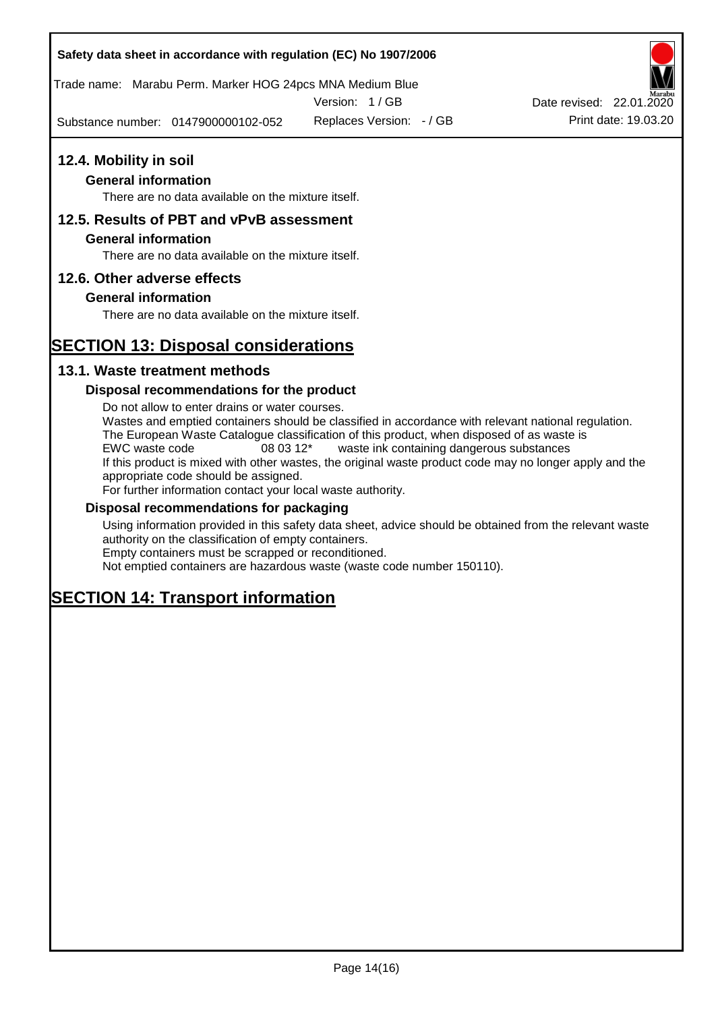Trade name: Marabu Perm. Marker HOG 24pcs MNA Medium Blue

Version: 1 / GB

Substance number: 0147900000102-052



#### **General information**

There are no data available on the mixture itself.

#### **12.5. Results of PBT and vPvB assessment**

#### **General information**

There are no data available on the mixture itself.

#### **12.6. Other adverse effects**

#### **General information**

There are no data available on the mixture itself.

## **SECTION 13: Disposal considerations**

#### **13.1. Waste treatment methods**

#### **Disposal recommendations for the product**

Do not allow to enter drains or water courses. Wastes and emptied containers should be classified in accordance with relevant national regulation. The European Waste Catalogue classification of this product, when disposed of as waste is EWC waste code 08 03 12\* waste ink containing dangerous substances If this product is mixed with other wastes, the original waste product code may no longer apply and the appropriate code should be assigned. For further information contact your local waste authority.

#### **Disposal recommendations for packaging**

Using information provided in this safety data sheet, advice should be obtained from the relevant waste authority on the classification of empty containers. Empty containers must be scrapped or reconditioned.

Not emptied containers are hazardous waste (waste code number 150110).

## **SECTION 14: Transport information**



Replaces Version: - / GB Print date: 19.03.20 Date revised: 22.01.2020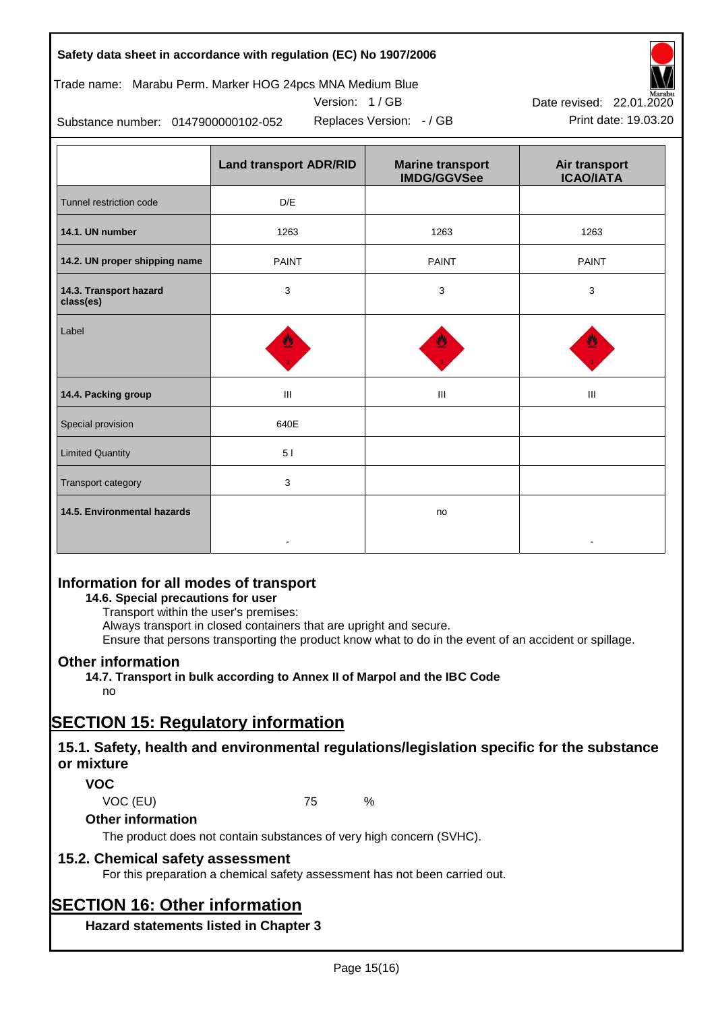## Trade name: Marabu Perm. Marker HOG 24pcs MNA Medium Blue



Version: 1 / GB

Replaces Version:  $-$  / GB Print date: 19.03.20

Substance number: 0147900000102-052

|                                     | <b>Land transport ADR/RID</b> | <b>Marine transport</b><br><b>IMDG/GGVSee</b> | Air transport<br><b>ICAO/IATA</b> |
|-------------------------------------|-------------------------------|-----------------------------------------------|-----------------------------------|
| Tunnel restriction code             | D/E                           |                                               |                                   |
| 14.1. UN number                     | 1263                          | 1263                                          | 1263                              |
| 14.2. UN proper shipping name       | <b>PAINT</b>                  | <b>PAINT</b>                                  | <b>PAINT</b>                      |
| 14.3. Transport hazard<br>class(es) | 3                             | 3                                             | 3                                 |
| Label                               |                               |                                               |                                   |
| 14.4. Packing group                 | Ш                             | Ш                                             | Ш                                 |
| Special provision                   | 640E                          |                                               |                                   |
| <b>Limited Quantity</b>             | 51                            |                                               |                                   |
| Transport category                  | 3                             |                                               |                                   |
| 14.5. Environmental hazards         |                               | no                                            |                                   |

## **Information for all modes of transport**

### **14.6. Special precautions for user**

Transport within the user's premises:

Always transport in closed containers that are upright and secure.

Ensure that persons transporting the product know what to do in the event of an accident or spillage.

## **Other information**

**14.7. Transport in bulk according to Annex II of Marpol and the IBC Code** no

# **SECTION 15: Regulatory information**

## **15.1. Safety, health and environmental regulations/legislation specific for the substance or mixture**

## **VOC**

VOC (EU) 75 %

## **Other information**

The product does not contain substances of very high concern (SVHC).

## **15.2. Chemical safety assessment**

For this preparation a chemical safety assessment has not been carried out.

## **SECTION 16: Other information**

**Hazard statements listed in Chapter 3**